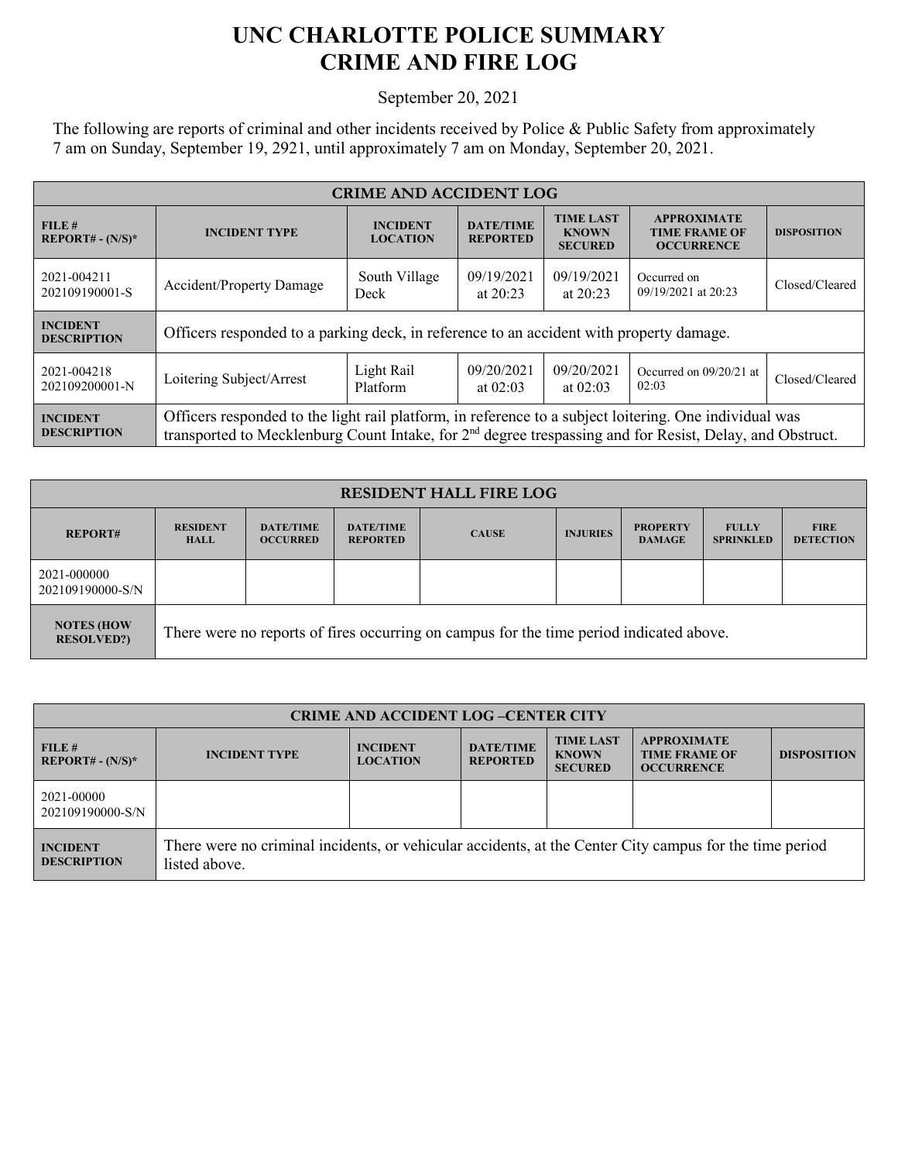## **UNC CHARLOTTE POLICE SUMMARY CRIME AND FIRE LOG**

September 20, 2021

The following are reports of criminal and other incidents received by Police & Public Safety from approximately 7 am on Sunday, September 19, 2921, until approximately 7 am on Monday, September 20, 2021.

| <b>CRIME AND ACCIDENT LOG</b>         |                                                                                                                                                                                                                                |                                    |                                                      |                                                    |                                                                 |                    |  |
|---------------------------------------|--------------------------------------------------------------------------------------------------------------------------------------------------------------------------------------------------------------------------------|------------------------------------|------------------------------------------------------|----------------------------------------------------|-----------------------------------------------------------------|--------------------|--|
| FILE#<br>$REPORT# - (N/S)*$           | <b>INCIDENT TYPE</b>                                                                                                                                                                                                           | <b>INCIDENT</b><br><b>LOCATION</b> | <b>DATE/TIME</b><br><b>REPORTED</b>                  | <b>TIME LAST</b><br><b>KNOWN</b><br><b>SECURED</b> | <b>APPROXIMATE</b><br><b>TIME FRAME OF</b><br><b>OCCURRENCE</b> | <b>DISPOSITION</b> |  |
| 2021-004211<br>202109190001-S         | Accident/Property Damage                                                                                                                                                                                                       | South Village<br>Deck              | 09/19/2021<br>09/19/2021<br>at $20:23$<br>at $20:23$ |                                                    | Occurred on<br>09/19/2021 at 20:23                              | Closed/Cleared     |  |
| <b>INCIDENT</b><br><b>DESCRIPTION</b> | Officers responded to a parking deck, in reference to an accident with property damage.                                                                                                                                        |                                    |                                                      |                                                    |                                                                 |                    |  |
| 2021-004218<br>202109200001-N         | Loitering Subject/Arrest                                                                                                                                                                                                       | Light Rail<br>Platform             | 09/20/2021<br>at $02:03$                             | 09/20/2021<br>at $02:03$                           | Occurred on 09/20/21 at<br>02:03                                | Closed/Cleared     |  |
| <b>INCIDENT</b><br><b>DESCRIPTION</b> | Officers responded to the light rail platform, in reference to a subject loitering. One individual was<br>transported to Mecklenburg Count Intake, for 2 <sup>nd</sup> degree trespassing and for Resist, Delay, and Obstruct. |                                    |                                                      |                                                    |                                                                 |                    |  |

| <b>RESIDENT HALL FIRE LOG</b>           |                                                                                         |                                     |                                     |              |                 |                                  |                                  |                                 |
|-----------------------------------------|-----------------------------------------------------------------------------------------|-------------------------------------|-------------------------------------|--------------|-----------------|----------------------------------|----------------------------------|---------------------------------|
| <b>REPORT#</b>                          | <b>RESIDENT</b><br><b>HALL</b>                                                          | <b>DATE/TIME</b><br><b>OCCURRED</b> | <b>DATE/TIME</b><br><b>REPORTED</b> | <b>CAUSE</b> | <b>INJURIES</b> | <b>PROPERTY</b><br><b>DAMAGE</b> | <b>FULLY</b><br><b>SPRINKLED</b> | <b>FIRE</b><br><b>DETECTION</b> |
| 2021-000000<br>202109190000-S/N         |                                                                                         |                                     |                                     |              |                 |                                  |                                  |                                 |
| <b>NOTES (HOW)</b><br><b>RESOLVED?)</b> | There were no reports of fires occurring on campus for the time period indicated above. |                                     |                                     |              |                 |                                  |                                  |                                 |

| <b>CRIME AND ACCIDENT LOG-CENTER CITY</b> |                                                                                                                          |                                    |                                     |                                                    |                                                                 |                    |
|-------------------------------------------|--------------------------------------------------------------------------------------------------------------------------|------------------------------------|-------------------------------------|----------------------------------------------------|-----------------------------------------------------------------|--------------------|
| FILE #<br>$REPORT# - (N/S)*$              | <b>INCIDENT TYPE</b>                                                                                                     | <b>INCIDENT</b><br><b>LOCATION</b> | <b>DATE/TIME</b><br><b>REPORTED</b> | <b>TIME LAST</b><br><b>KNOWN</b><br><b>SECURED</b> | <b>APPROXIMATE</b><br><b>TIME FRAME OF</b><br><b>OCCURRENCE</b> | <b>DISPOSITION</b> |
| 2021-00000<br>202109190000-S/N            |                                                                                                                          |                                    |                                     |                                                    |                                                                 |                    |
| <b>INCIDENT</b><br><b>DESCRIPTION</b>     | There were no criminal incidents, or vehicular accidents, at the Center City campus for the time period<br>listed above. |                                    |                                     |                                                    |                                                                 |                    |